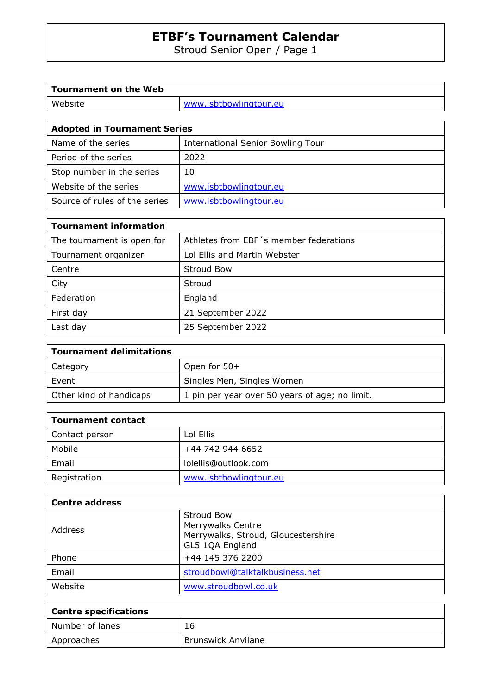Stroud Senior Open / Page 1

| <b>Tournament on the Web</b>        |                                   |  |  |  |  |
|-------------------------------------|-----------------------------------|--|--|--|--|
| Website                             | www.isbtbowlingtour.eu            |  |  |  |  |
|                                     |                                   |  |  |  |  |
| <b>Adopted in Tournament Series</b> |                                   |  |  |  |  |
| Name of the series                  | International Senior Bowling Tour |  |  |  |  |
| Period of the series                | 2022                              |  |  |  |  |
| Stop number in the series           | 10                                |  |  |  |  |

Website of the series www.isbtbowlingtour.eu Source of rules of the series | www.isbtbowlingtour.eu

| <b>Tournament information</b> |                                        |  |  |
|-------------------------------|----------------------------------------|--|--|
| The tournament is open for    | Athletes from EBF's member federations |  |  |
| Tournament organizer          | Lol Ellis and Martin Webster           |  |  |
| Centre                        | <b>Stroud Bowl</b>                     |  |  |
| City                          | Stroud                                 |  |  |
| Federation                    | England                                |  |  |
| First day                     | 21 September 2022                      |  |  |
| Last day                      | 25 September 2022                      |  |  |

| <b>Tournament delimitations</b> |                                                |
|---------------------------------|------------------------------------------------|
| Category                        | Open for 50+                                   |
| Event                           | Singles Men, Singles Women                     |
| Other kind of handicaps         | 1 pin per year over 50 years of age; no limit. |

| Tournament contact |                        |  |  |
|--------------------|------------------------|--|--|
| Contact person     | Lol Ellis              |  |  |
| Mobile             | +44 742 944 6652       |  |  |
| Email              | lolellis@outlook.com   |  |  |
| Registration       | www.isbtbowlingtour.eu |  |  |

| <b>Centre address</b> |                                                                                                    |  |  |  |
|-----------------------|----------------------------------------------------------------------------------------------------|--|--|--|
| Address               | Stroud Bowl<br><b>Merrywalks Centre</b><br>Merrywalks, Stroud, Gloucestershire<br>GL5 1QA England. |  |  |  |
| Phone                 | +44 145 376 2200                                                                                   |  |  |  |
| Email                 | stroudbowl@talktalkbusiness.net                                                                    |  |  |  |
| Website               | www.stroudbowl.co.uk                                                                               |  |  |  |

| <sup>1</sup> Centre specifications |                           |  |
|------------------------------------|---------------------------|--|
| Number of lanes                    | 16                        |  |
| Approaches                         | <b>Brunswick Anvilane</b> |  |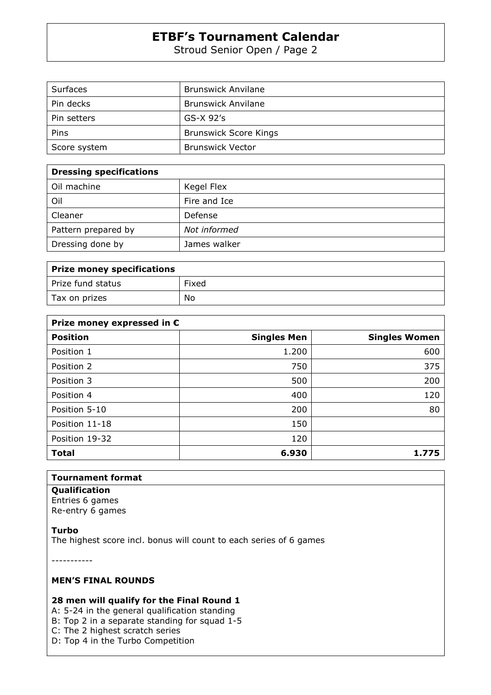Stroud Senior Open / Page 2

| Surfaces     | <b>Brunswick Anvilane</b>    |
|--------------|------------------------------|
| Pin decks    | <b>Brunswick Anvilane</b>    |
| Pin setters  | $GS-X$ 92's                  |
| Pins         | <b>Brunswick Score Kings</b> |
| Score system | <b>Brunswick Vector</b>      |

| <b>Dressing specifications</b> |              |
|--------------------------------|--------------|
| Oil machine                    | Kegel Flex   |
| Oil                            | Fire and Ice |
| Cleaner                        | Defense      |
| Pattern prepared by            | Not informed |
| Dressing done by               | James walker |

| Prize money specifications |       |  |  |
|----------------------------|-------|--|--|
| Prize fund status          | Fixed |  |  |
| Tax on prizes              | No    |  |  |

| Prize money expressed in $\epsilon$ |                    |                      |  |  |
|-------------------------------------|--------------------|----------------------|--|--|
| <b>Position</b>                     | <b>Singles Men</b> | <b>Singles Women</b> |  |  |
| Position 1                          | 1.200              | 600                  |  |  |
| Position 2                          | 750                | 375                  |  |  |
| Position 3                          | 500                | 200                  |  |  |
| Position 4                          | 400                | 120                  |  |  |
| Position 5-10                       | 200                | 80                   |  |  |
| Position 11-18                      | 150                |                      |  |  |
| Position 19-32                      | 120                |                      |  |  |
| <b>Total</b>                        | 6.930              | 1.775                |  |  |

### **Tournament format**

**Qualification**  Entries 6 games

Re-entry 6 games

**Turbo** 

The highest score incl. bonus will count to each series of 6 games

-----------

#### **MEN'S FINAL ROUNDS**

### **28 men will qualify for the Final Round 1**

A: 5-24 in the general qualification standing B: Top 2 in a separate standing for squad 1-5 C: The 2 highest scratch series

D: Top 4 in the Turbo Competition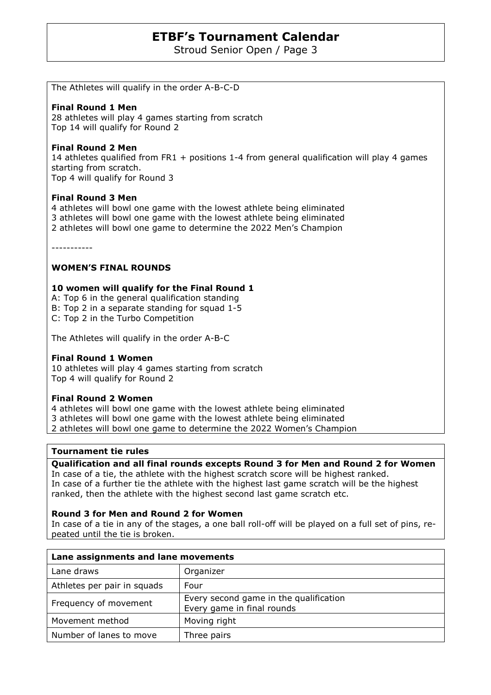Stroud Senior Open / Page 3

The Athletes will qualify in the order A-B-C-D

#### **Final Round 1 Men**

28 athletes will play 4 games starting from scratch Top 14 will qualify for Round 2

#### **Final Round 2 Men**

14 athletes qualified from FR1 + positions 1-4 from general qualification will play 4 games starting from scratch. Top 4 will qualify for Round 3

### **Final Round 3 Men**

4 athletes will bowl one game with the lowest athlete being eliminated 3 athletes will bowl one game with the lowest athlete being eliminated 2 athletes will bowl one game to determine the 2022 Men's Champion

-----------

### **WOMEN'S FINAL ROUNDS**

### **10 women will qualify for the Final Round 1**

A: Top 6 in the general qualification standing B: Top 2 in a separate standing for squad 1-5 C: Top 2 in the Turbo Competition

The Athletes will qualify in the order A-B-C

#### **Final Round 1 Women**

10 athletes will play 4 games starting from scratch Top 4 will qualify for Round 2

#### **Final Round 2 Women**

4 athletes will bowl one game with the lowest athlete being eliminated 3 athletes will bowl one game with the lowest athlete being eliminated 2 athletes will bowl one game to determine the 2022 Women's Champion

#### **Tournament tie rules**

**Qualification and all final rounds excepts Round 3 for Men and Round 2 for Women**  In case of a tie, the athlete with the highest scratch score will be highest ranked. In case of a further tie the athlete with the highest last game scratch will be the highest ranked, then the athlete with the highest second last game scratch etc.

#### **Round 3 for Men and Round 2 for Women**

In case of a tie in any of the stages, a one ball roll-off will be played on a full set of pins, repeated until the tie is broken.

| Lane assignments and lane movements |                                                                      |  |  |
|-------------------------------------|----------------------------------------------------------------------|--|--|
| Lane draws                          | Organizer                                                            |  |  |
| Athletes per pair in squads         | Four                                                                 |  |  |
| Frequency of movement               | Every second game in the qualification<br>Every game in final rounds |  |  |
| Movement method                     | Moving right                                                         |  |  |
| Number of lanes to move             | Three pairs                                                          |  |  |